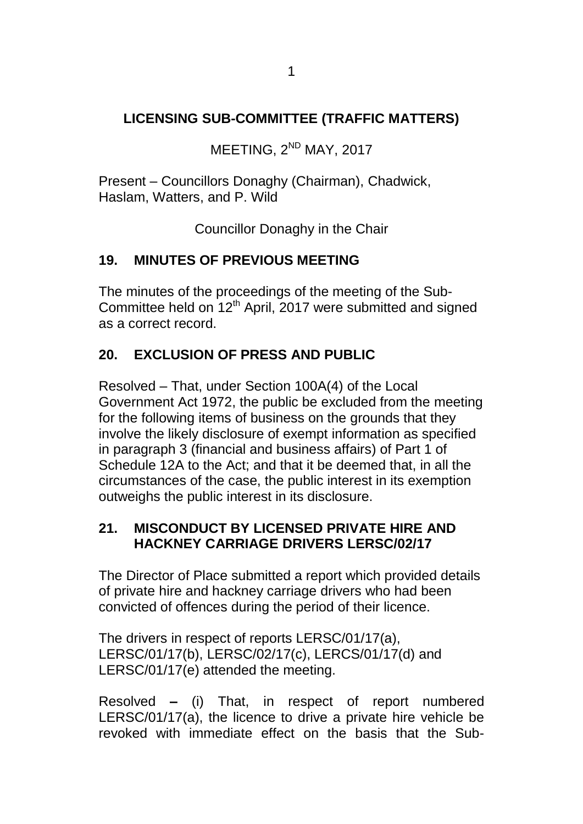## **LICENSING SUB-COMMITTEE (TRAFFIC MATTERS)**

MEETING, 2<sup>ND</sup> MAY, 2017

Present – Councillors Donaghy (Chairman), Chadwick, Haslam, Watters, and P. Wild

Councillor Donaghy in the Chair

## **19. MINUTES OF PREVIOUS MEETING**

The minutes of the proceedings of the meeting of the Sub-Committee held on 12<sup>th</sup> April, 2017 were submitted and signed as a correct record.

## **20. EXCLUSION OF PRESS AND PUBLIC**

Resolved – That, under Section 100A(4) of the Local Government Act 1972, the public be excluded from the meeting for the following items of business on the grounds that they involve the likely disclosure of exempt information as specified in paragraph 3 (financial and business affairs) of Part 1 of Schedule 12A to the Act; and that it be deemed that, in all the circumstances of the case, the public interest in its exemption outweighs the public interest in its disclosure.

## **21. MISCONDUCT BY LICENSED PRIVATE HIRE AND HACKNEY CARRIAGE DRIVERS LERSC/02/17**

The Director of Place submitted a report which provided details of private hire and hackney carriage drivers who had been convicted of offences during the period of their licence.

The drivers in respect of reports LERSC/01/17(a), LERSC/01/17(b), LERSC/02/17(c), LERCS/01/17(d) and LERSC/01/17(e) attended the meeting.

Resolved **–** (i) That, in respect of report numbered LERSC/01/17(a), the licence to drive a private hire vehicle be revoked with immediate effect on the basis that the Sub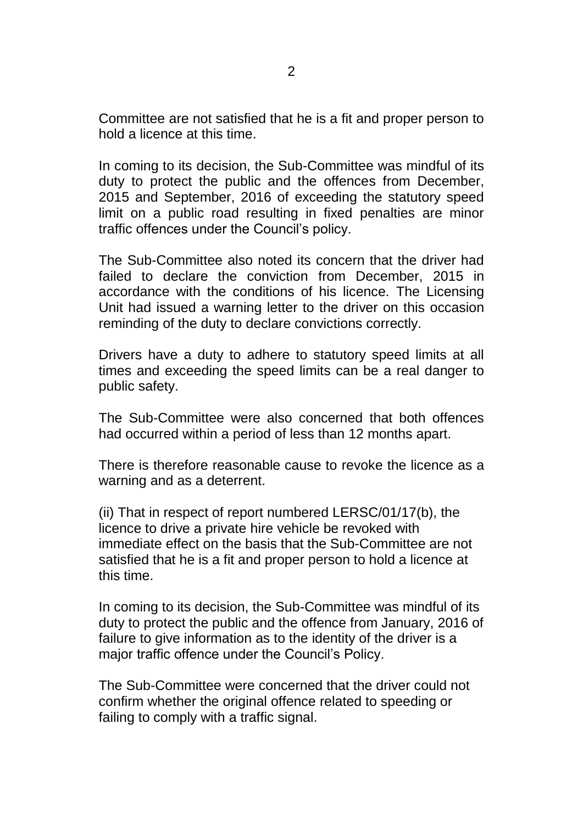Committee are not satisfied that he is a fit and proper person to hold a licence at this time.

In coming to its decision, the Sub-Committee was mindful of its duty to protect the public and the offences from December, 2015 and September, 2016 of exceeding the statutory speed limit on a public road resulting in fixed penalties are minor traffic offences under the Council's policy.

The Sub-Committee also noted its concern that the driver had failed to declare the conviction from December, 2015 in accordance with the conditions of his licence. The Licensing Unit had issued a warning letter to the driver on this occasion reminding of the duty to declare convictions correctly.

Drivers have a duty to adhere to statutory speed limits at all times and exceeding the speed limits can be a real danger to public safety.

The Sub-Committee were also concerned that both offences had occurred within a period of less than 12 months apart.

There is therefore reasonable cause to revoke the licence as a warning and as a deterrent.

(ii) That in respect of report numbered LERSC/01/17(b), the licence to drive a private hire vehicle be revoked with immediate effect on the basis that the Sub-Committee are not satisfied that he is a fit and proper person to hold a licence at this time.

In coming to its decision, the Sub-Committee was mindful of its duty to protect the public and the offence from January, 2016 of failure to give information as to the identity of the driver is a major traffic offence under the Council's Policy.

The Sub-Committee were concerned that the driver could not confirm whether the original offence related to speeding or failing to comply with a traffic signal.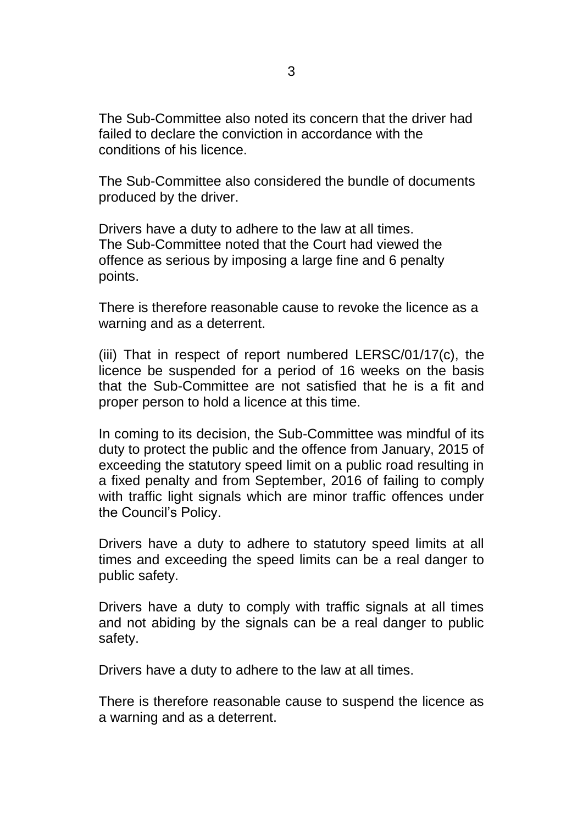The Sub-Committee also noted its concern that the driver had failed to declare the conviction in accordance with the conditions of his licence.

The Sub-Committee also considered the bundle of documents produced by the driver.

Drivers have a duty to adhere to the law at all times. The Sub-Committee noted that the Court had viewed the offence as serious by imposing a large fine and 6 penalty points.

There is therefore reasonable cause to revoke the licence as a warning and as a deterrent.

(iii) That in respect of report numbered LERSC/01/17(c), the licence be suspended for a period of 16 weeks on the basis that the Sub-Committee are not satisfied that he is a fit and proper person to hold a licence at this time.

In coming to its decision, the Sub-Committee was mindful of its duty to protect the public and the offence from January, 2015 of exceeding the statutory speed limit on a public road resulting in a fixed penalty and from September, 2016 of failing to comply with traffic light signals which are minor traffic offences under the Council's Policy.

Drivers have a duty to adhere to statutory speed limits at all times and exceeding the speed limits can be a real danger to public safety.

Drivers have a duty to comply with traffic signals at all times and not abiding by the signals can be a real danger to public safety.

Drivers have a duty to adhere to the law at all times.

There is therefore reasonable cause to suspend the licence as a warning and as a deterrent.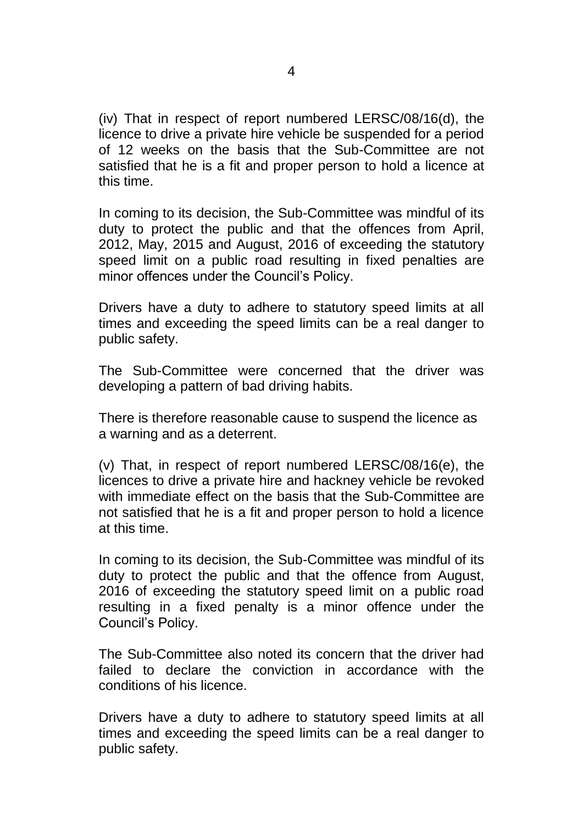(iv) That in respect of report numbered LERSC/08/16(d), the licence to drive a private hire vehicle be suspended for a period of 12 weeks on the basis that the Sub-Committee are not satisfied that he is a fit and proper person to hold a licence at this time.

In coming to its decision, the Sub-Committee was mindful of its duty to protect the public and that the offences from April, 2012, May, 2015 and August, 2016 of exceeding the statutory speed limit on a public road resulting in fixed penalties are minor offences under the Council's Policy.

Drivers have a duty to adhere to statutory speed limits at all times and exceeding the speed limits can be a real danger to public safety.

The Sub-Committee were concerned that the driver was developing a pattern of bad driving habits.

There is therefore reasonable cause to suspend the licence as a warning and as a deterrent.

(v) That, in respect of report numbered LERSC/08/16(e), the licences to drive a private hire and hackney vehicle be revoked with immediate effect on the basis that the Sub-Committee are not satisfied that he is a fit and proper person to hold a licence at this time.

In coming to its decision, the Sub-Committee was mindful of its duty to protect the public and that the offence from August, 2016 of exceeding the statutory speed limit on a public road resulting in a fixed penalty is a minor offence under the Council's Policy.

The Sub-Committee also noted its concern that the driver had failed to declare the conviction in accordance with the conditions of his licence.

Drivers have a duty to adhere to statutory speed limits at all times and exceeding the speed limits can be a real danger to public safety.